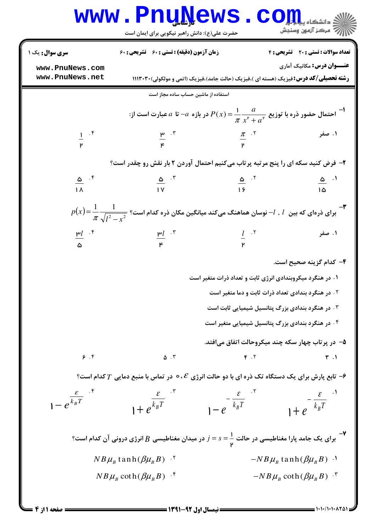## Www.PnuNews.com

حضرت علی(ع): دانش راهبر نیکویی برای ایمان است

| <b>سری سوال :</b> یک ۱                        | زمان آزمون (دقیقه) : تستی : 60 گشریحی : 60                                                                                                                              |                                                           | تعداد سوالات : تستي : 20 - تشريحي : 4            |  |
|-----------------------------------------------|-------------------------------------------------------------------------------------------------------------------------------------------------------------------------|-----------------------------------------------------------|--------------------------------------------------|--|
| www.PnuNews.com<br>www.PnuNews.net            | <b>رشته تحصیلی/کد درس:</b> فیزیک (هسته ای )،فیزیک (حالت جامد)،فیزیک (اتمی و مولکولی)۲۰۳۰ ۱۱۱۳                                                                           |                                                           | <b>عنـــوان درس:</b> مکانیک آماری                |  |
|                                               | استفاده از ماشین حساب ساده مجاز است                                                                                                                                     |                                                           |                                                  |  |
|                                               |                                                                                                                                                                         |                                                           |                                                  |  |
|                                               | احتمال حضور ذره با توزیع $\frac{a}{\pi}\frac{a}{x^{\mathsf{r}}+a^{\mathsf{r}}}=\frac{1}{\pi}\frac{a}{x^{\mathsf{r}}+a^{\mathsf{r}}}$ در بازه $a$ = تا $a$ عبارت است از: |                                                           |                                                  |  |
| $\frac{1}{P}$ $\cdot$ $\frac{1}{P}$           | $\frac{\mu}{\mu}$ . T                                                                                                                                                   | $\frac{\pi}{\mathsf{P}}$ . $\mathsf{P}$ . $\mathsf{P}$    |                                                  |  |
|                                               |                                                                                                                                                                         |                                                           |                                                  |  |
|                                               | ۲- فرض کنید سکه ای را پنج مرتبه پرتاب میکنیم احتمال آوردن ۲ بار نقش رو چقدر است؟                                                                                        |                                                           |                                                  |  |
| $\frac{\Delta}{1}$ $\frac{1}{\sqrt{1}}$       | $\frac{\Delta}{\Delta}$ $\frac{5}{\pi}$                                                                                                                                 | $\frac{\omega}{15}$ $^{17}$                               | $\frac{\Delta}{\Delta}$ <sup>.1</sup>            |  |
|                                               |                                                                                                                                                                         |                                                           |                                                  |  |
|                                               | $p(x)\!=\!\displaystyle\frac{1}{\pi}\frac{1}{\sqrt{I^2- r^2}}$ برای ذرهای که بین $l$ , $l$ نوسان هماهنگ میکند میانگین مکان ذره کدام است؟                                |                                                           |                                                  |  |
| <sup><math>n!</math></sup> $\frac{1}{\Delta}$ | $\frac{\mu}{\mu}$ . $\tilde{r}$                                                                                                                                         | $\frac{l}{r}$ . T                                         | ۱. صفر                                           |  |
|                                               |                                                                                                                                                                         |                                                           |                                                  |  |
|                                               |                                                                                                                                                                         |                                                           | ۴– کدام گزینه صحیح است.                          |  |
|                                               |                                                                                                                                                                         | ۱. در هنگرد میکروبندادی انرژی ثابت و تعداد ذرات متغیر است |                                                  |  |
|                                               | ۰۲ در هنگرد بندادی تعداد ذرات ثابت و دما متغیر است                                                                                                                      |                                                           |                                                  |  |
|                                               |                                                                                                                                                                         | ۰۳ در هنگرد بندادی بزرگ پتانسیل شیمیایی ثابت است          |                                                  |  |
|                                               |                                                                                                                                                                         | ۰۴ در هنگرد بندادی بزرگ پتانسیل شیمیایی متغیر است         |                                                  |  |
|                                               |                                                                                                                                                                         |                                                           | ۵- در پرتاب چهار سکه چند میکروحالت اتفاق میافتد. |  |
| 9.9                                           | $\Delta$ . $\tilde{v}$                                                                                                                                                  | $F \cdot Y$                                               | $\mathbf{r}$ .                                   |  |
|                                               | و انجان برای یک دستگاه تک ذره ای با دو حالت انرژی $\epsilon$ ۰۶ در تماس با منبع دمایی $T$ کدام است $\epsilon$                                                           |                                                           |                                                  |  |
| $1-e^{\frac{\mathcal{E}}{k_B T}}$             |                                                                                                                                                                         |                                                           |                                                  |  |
|                                               | $1+e^{\frac{\mathcal{E}}{k_B T}}$                                                                                                                                       | $1-e^{-\frac{\mathcal{E}}{k_B T}}$                        | $1+e^{-\frac{\mathcal{E}}{k_B T}}$               |  |
|                                               | -<br>برای یک جامد پارا مغناطیسی در حالت $s=\frac{1}{\mathsf{v}}=s$ در میدان مغناطیسی $B$ انرژی درونی آن کدام است؟ $\blacksquare$                                        |                                                           |                                                  |  |
|                                               | $NB\mu_B$ tanh $(\beta\mu_B B)^{-1}$                                                                                                                                    |                                                           | $-NB\mu_{B}$ tanh $(\beta\mu_{B}B)^{-1}$         |  |
|                                               | $NB\mu_B \coth(\beta\mu_B B)^{-1}$                                                                                                                                      |                                                           | $-NB\mu_B \coth(\beta\mu_B B)^{-\nu}$            |  |
|                                               |                                                                                                                                                                         |                                                           |                                                  |  |

 $= 1.1.11.1.1101$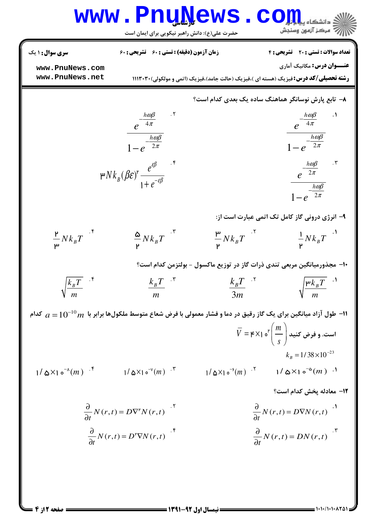$$
WWW = P1111√21√32√41√42√42√42√42√42√42√42√42√42√42√42√42√42√42√42√42√42√42√42√42√42√42√42√42√42√42√42√42√42√42√42√42√42√42√42√42√42√42√42√42√42√42√42√42√42√42√42√42√42√42√42√42√42√42√42√42√42√42√42√42√42√42√42√42√42√42√42√42√42√42√42√42√42√42√42√42√42√42√42√4
$$

صفحه 2 از 4 =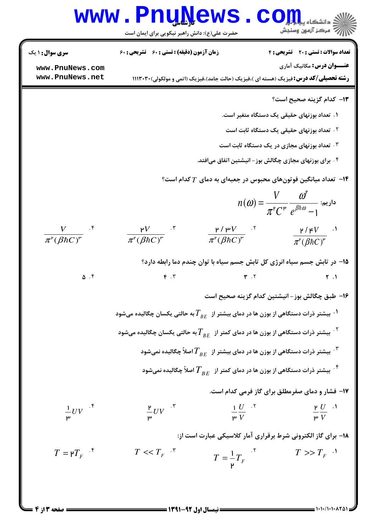## www.Pnu<u>N</u>ews.com

حضرت علي(ع): دانش راهبر نيكويي براي ايمان است

**عنـــوان درس:** مکانیک آماری **رشته تحصیلی/کد درس:**فیزیک (هسته ای )،فیزیک (حالت جامد)،فیزیک (اتمی و مولکولی)۲۰۳۰۲۰ ا نعداد سوالات : تستي : 20 تشريحي : 6 زمان آزمون (دقيقه) : تستي : 60 تشريحي : 60 ( ۱۳– کدام گزینه صحیح است؟ ۱. تعداد بوزنهای حقیقی یک دستگاه متغیر است. ۰۲ <mark>تعداد بوزنهای ح</mark>قیقی یک دستگاه ثابت است ۰۳ تعداد بوزنهای مجازی در یک دستگاه ثابت است ۰.<br>۴. برای بوزنهای مجازی چگالش بوز – انیشتین اتفاق میافتد. ا— تعداد میانگین فوتونهای محبوس در جعبهای به دمای  $T$ کدام است؟ $\,$  $n(\pmb{\omega}) = \frac{V}{\prod\limits_{\mathsf{w}}\mathsf{w}^{\mathsf{w}}}\frac{\pmb{\omega}^{\mathsf{r}}}{\frac{\pmb{\beta}\mathsf{h}\pmb{\omega}}{\pmb{\beta}}\mathsf{h}\pmb{\omega}}$  ناریم:  $C^{\mu}$   $e^{\beta \hbar \omega}$ ω ω π = − ۲.  $C^{\mu} e^{\beta \hbar \omega}$  – 1 /  $(\beta \hbar C)$ *V*  $\pi^{\mathsf{r}}(\beta \hbar C)^{\mathsf{r}}$  $\frac{1}{4}$ ħ /  $(\beta \hbar C)$ *V*  $\overline{\pi^{\mathfrak{r}}(\beta\hbar C)^{\mathfrak{r}}}$  $\mu / \mu$  $\overline{(\beta \hbar C)^{r}}$   $\pi^{r}(\beta \hbar)$ *V*  $\pi^{\mathsf{r}}(\beta \hbar C)^{\mathsf{r}}$  $\mathsf{P}$  $\overline{(\beta \hbar C)^{r}}$   $\overline{\pi^{r}(\beta \hbar)}$ *V*  $\overline{\pi^{\mathsf{r}}(\beta\hbar C)^{\mathsf{r}}}$  $\mathsf{P}V$  . T  $\mathsf{P}/\mathsf{P}V$  . T  $\mathsf{P}/\mathsf{P}V$  . T  $\mathsf{P}/\mathsf{P}V$  . T 1۵– در تابش جسم سیاه انرژی کل تابش جسم سیاه با توان چندم دما رابطه دارد؟  $\Delta$  . F  $\qquad \qquad$   $\qquad \qquad$   $\qquad \qquad$   $\qquad \qquad$   $\qquad \qquad$   $\qquad \qquad$   $\qquad \qquad$   $\qquad \qquad$   $\qquad \qquad$   $\qquad \qquad$   $\qquad \qquad$   $\qquad \qquad$   $\qquad \qquad$   $\qquad \qquad$   $\qquad \qquad$   $\qquad \qquad$   $\qquad \qquad$   $\qquad \qquad$   $\qquad \qquad$   $\qquad \qquad$   $\qquad \qquad$   $\qquad \qquad$   $\qquad \qquad$   $\qquad \$  $\Delta$   $\mathsf{F}$   $\mathsf{F}$   $\mathsf{F}$   $\mathsf{F}$   $\mathsf{F}$  $\mathbf{r}$   $\mathbf{r}$   $\mathbf{r}$   $\mathbf{r}$ . . . . ۱۶– طبق چگالش بوز– انیشتین کدام گزینه صحیح است  $^{\prime}$ ۰ بیشتر ذرات دستگاهی از بوزن ها در دمای بیشتر از  $T_{BE}$  به حالتی یکسان چگالیده میشود  $^{\prime}$ بیشتر ذرات دستگاهی از بوزن ها در دمای کمتر از  $\overline{T}_{BE}$  به حالتی یکسان چگالیده میشود  $^{\mathsf{Y}}$ بیشتر ذرات دستگاهی از بوزن ها در دمای بیشتر از  $\overline{T}_{BE}$  اصلاً چگالیده نمیشود  $^{\mathsf{T}}$ ن بیشتر ذرات دستگاهی از بوزن ها در دمای کمتر از  $\overline{T}_{BE}$  اصلاً چگالیده نمیشود.  $^{\mathfrak{f}}$ ۱۷- فشار و دمای صفرمطلق برای گاز فرمی کدام است. *U V* ۲ ۳ *U V* 1 ۳ <mark>۳</mark><br>۳<br>۳  $\frac{1}{\mu}UV$  $\mathbf{F}$  .  $\mathbf{F}$  .  $\mathbf{F}$  .  $\mathbf{F}$  .  $\mathbf{F}$  .  $\mathbf{F}$  .  $\mathbf{F}$  .  $\mathbf{F}$  .  $\mathbf{F}$  .  $\mathbf{F}$  .  $\mathbf{F}$  # ۱۸- برای گاز الکترونی شرط برقراری آمار کلاسیکی عبارت است از:  $T = \frac{1}{n} T_F$  <sup>1</sup>  $T >> T_F$  $\mathsf{P}$  $T = \gamma T_{\rm r}$ <sup> $\cdot$  \*</sup>  $T \ll T_F$ <sup> $\cdot$ </sup>  $T \ll T_r$  .  $\zeta$  ,  $\zeta$  ,  $\zeta$  ,  $\zeta$  ,  $\zeta$  ,  $\zeta$  ,  $\zeta$  ,  $\zeta$  ,  $\zeta$  ,  $\zeta$  ,  $\zeta$  ,  $\zeta$  ,  $\zeta$  ,  $\zeta$  ,  $\zeta$  ,  $\zeta$  ,  $\zeta$  ,  $\zeta$  ,  $\zeta$  ,  $\zeta$  ,  $\zeta$  ,  $\zeta$  ,  $\zeta$  ,  $\zeta$  ,  $\zeta$  ,  $\zeta$  ,  $\z$ **[www.PnuNews.com](http://pnunews.com) [www.PnuNews.net](http://www.PnuNews.net)**